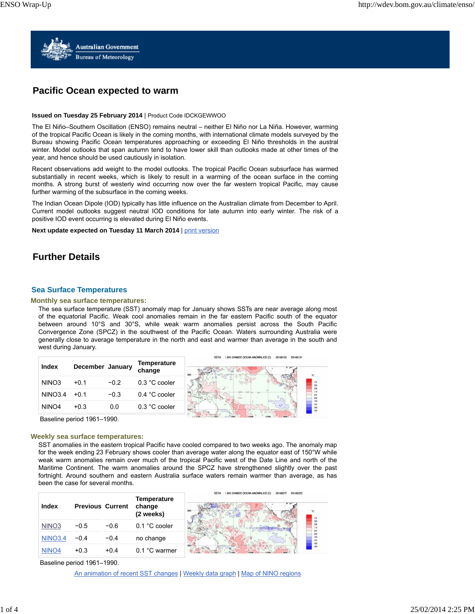

# **Pacific Ocean expected to warm**

## **Issued on Tuesday 25 February 2014** | Product Code IDCKGEWWOO

The El Niño–Southern Oscillation (ENSO) remains neutral – neither El Niño nor La Niña. However, warming of the tropical Pacific Ocean is likely in the coming months, with international climate models surveyed by the Bureau showing Pacific Ocean temperatures approaching or exceeding El Niño thresholds in the austral winter. Model outlooks that span autumn tend to have lower skill than outlooks made at other times of the year, and hence should be used cautiously in isolation.

Recent observations add weight to the model outlooks. The tropical Pacific Ocean subsurface has warmed substantially in recent weeks, which is likely to result in a warming of the ocean surface in the coming months. A strong burst of westerly wind occurring now over the far western tropical Pacific, may cause further warming of the subsurface in the coming weeks.

The Indian Ocean Dipole (IOD) typically has little influence on the Australian climate from December to April. Current model outlooks suggest neutral IOD conditions for late autumn into early winter. The risk of a positive IOD event occurring is elevated during El Niño events.

**Next update expected on Tuesday 11 March 2014 | print version** 

# **Further Details**

# **Sea Surface Temperatures**

### **Monthly sea surface temperatures:**

The sea surface temperature (SST) anomaly map for January shows SSTs are near average along most of the equatorial Pacific. Weak cool anomalies remain in the far eastern Pacific south of the equator between around 10°S and 30°S, while weak warm anomalies persist across the South Pacific Convergence Zone (SPCZ) in the southwest of the Pacific Ocean. Waters surrounding Australia were generally close to average temperature in the north and east and warmer than average in the south and west during January.



Baseline period 1961–1990.

### **Weekly sea surface temperatures:**

SST anomalies in the eastern tropical Pacific have cooled compared to two weeks ago. The anomaly map for the week ending 23 February shows cooler than average water along the equator east of 150°W while weak warm anomalies remain over much of the tropical Pacific west of the Date Line and north of the Maritime Continent. The warm anomalies around the SPCZ have strengthened slightly over the past fortnight. Around southern and eastern Australia surface waters remain warmer than average, as has been the case for several months.

| Index             | <b>Previous Current</b> |        | <b>Temperature</b><br>change<br>(2 weeks) | A NMOC OCEAN ANOMALIES IC<br>20140223<br>RRT<br>4.0 |
|-------------------|-------------------------|--------|-------------------------------------------|-----------------------------------------------------|
| NINO <sub>3</sub> | $-0.5$                  | $-0.6$ | 0.1 °C cooler                             | 0.5                                                 |
| <b>NINO3.4</b>    | $-0.4$                  | $-0.4$ | no change                                 | 0.7<br>$-1.0$<br>$-2.0$                             |
| NINO <sub>4</sub> | $+0.3$                  | $+0.4$ | 0.1 °C warmer                             | $\frac{30}{40}$                                     |

Baseline period 1961–1990.

An animation of recent SST changes | Weekly data graph | Map of NINO regions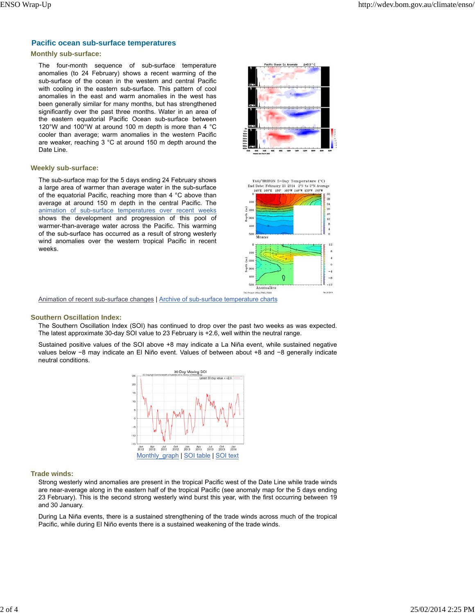# **Pacific ocean sub-surface temperatures**

## **Monthly sub-surface:**

The four-month sequence of sub-surface temperature anomalies (to 24 February) shows a recent warming of the sub-surface of the ocean in the western and central Pacific with cooling in the eastern sub-surface. This pattern of cool anomalies in the east and warm anomalies in the west has been generally similar for many months, but has strengthened significantly over the past three months. Water in an area of the eastern equatorial Pacific Ocean sub-surface between 120°W and 100°W at around 100 m depth is more than 4 °C cooler than average; warm anomalies in the western Pacific are weaker, reaching 3 °C at around 150 m depth around the Date Line.

#### **Weekly sub-surface:**

The sub-surface map for the 5 days ending 24 February shows a large area of warmer than average water in the sub-surface of the equatorial Pacific, reaching more than 4 °C above than average at around 150 m depth in the central Pacific. The animation of sub-surface temperatures over recent weeks shows the development and progression of this pool of warmer-than-average water across the Pacific. This warming of the sub-surface has occurred as a result of strong westerly wind anomalies over the western tropical Pacific in recent weeks.





Animation of recent sub-surface changes | Archive of sub-surface temperature charts

#### **Southern Oscillation Index:**

The Southern Oscillation Index (SOI) has continued to drop over the past two weeks as was expected. The latest approximate 30-day SOI value to 23 February is +2.6, well within the neutral range.

Sustained positive values of the SOI above +8 may indicate a La Niña event, while sustained negative values below −8 may indicate an El Niño event. Values of between about +8 and −8 generally indicate neutral conditions.



#### **Trade winds:**

Strong westerly wind anomalies are present in the tropical Pacific west of the Date Line while trade winds are near-average along in the eastern half of the tropical Pacific (see anomaly map for the 5 days ending 23 February). This is the second strong westerly wind burst this year, with the first occurring between 19 and 30 January.

During La Niña events, there is a sustained strengthening of the trade winds across much of the tropical Pacific, while during El Niño events there is a sustained weakening of the trade winds.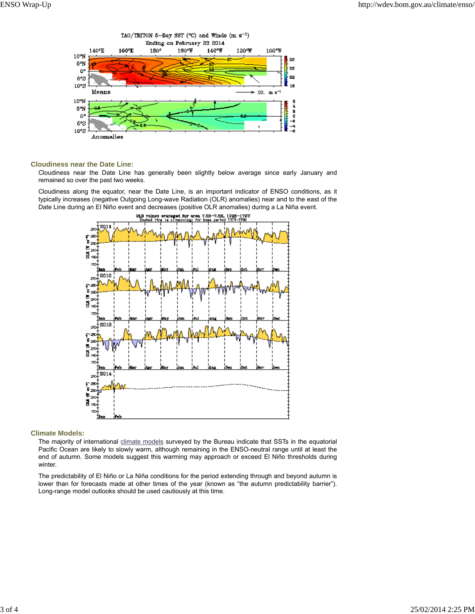

# **Cloudiness near the Date Line:**

Cloudiness near the Date Line has generally been slightly below average since early January and remained so over the past two weeks.

Cloudiness along the equator, near the Date Line, is an important indicator of ENSO conditions, as it typically increases (negative Outgoing Long-wave Radiation (OLR) anomalies) near and to the east of the Date Line during an El Niño event and decreases (positive OLR anomalies) during a La Niña event.



# **Climate Models:**

The majority of international climate models surveyed by the Bureau indicate that SSTs in the equatorial Pacific Ocean are likely to slowly warm, although remaining in the ENSO-neutral range until at least the end of autumn. Some models suggest this warming may approach or exceed El Niño thresholds during winter.

The predictability of El Niño or La Niña conditions for the period extending through and beyond autumn is lower than for forecasts made at other times of the year (known as "the autumn predictability barrier"). Long-range model outlooks should be used cautiously at this time.